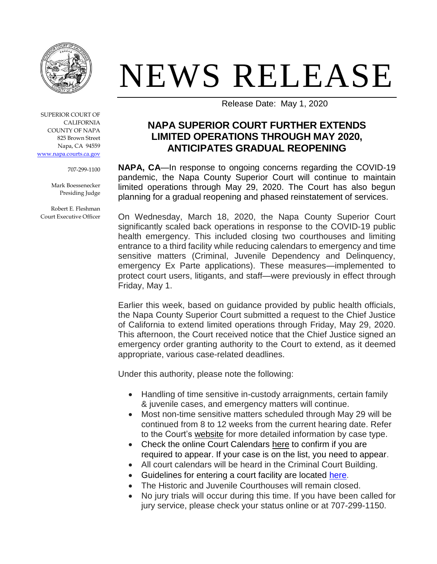

## NEWS RELEASE

SUPERIOR COURT OF CALIFORNIA COUNTY OF NAPA 825 Brown Street Napa, CA 94559 [www.napa.courts.ca.gov](http://www.napa.courts.ca.gov/)

707-299-1100

Mark Boessenecker Presiding Judge

Robert E. Fleshman Court Executive Officer Release Date: May 1, 2020

## **NAPA SUPERIOR COURT FURTHER EXTENDS LIMITED OPERATIONS THROUGH MAY 2020, ANTICIPATES GRADUAL REOPENING**

**NAPA, CA**—In response to ongoing concerns regarding the COVID-19 pandemic, the Napa County Superior Court will continue to maintain limited operations through May 29, 2020. The Court has also begun planning for a gradual reopening and phased reinstatement of services.

On Wednesday, March 18, 2020, the Napa County Superior Court significantly scaled back operations in response to the COVID-19 public health emergency. This included closing two courthouses and limiting entrance to a third facility while reducing calendars to emergency and time sensitive matters (Criminal, Juvenile Dependency and Delinquency, emergency Ex Parte applications). These measures—implemented to protect court users, litigants, and staff—were previously in effect through Friday, May 1.

Earlier this week, based on guidance provided by public health officials, the Napa County Superior Court submitted a request to the Chief Justice of California to extend limited operations through Friday, May 29, 2020. This afternoon, the Court received notice that the Chief Justice signed an emergency order granting authority to the Court to extend, as it deemed appropriate, various case-related deadlines.

Under this authority, please note the following:

- Handling of time sensitive in-custody arraignments, certain family & juvenile cases, and emergency matters will continue.
- Most non-time sensitive matters scheduled through May 29 will be continued from 8 to 12 weeks from the current hearing date. Refer to the Court's [website](http://www.napa.courts.ca.gov/) for more detailed information by case type.
- Check the online Court Calendars [here](http://www.napacourt.com/court/calendars) to confirm if you are required to appear. If your case is on the list, you need to appear.
- All court calendars will be heard in the Criminal Court Building.
- Guidelines for entering a court facility are located [here.](http://www.napa.courts.ca.gov/sites/default/files/pdfs/COVID%2019%20Entry%20Guidlines.pdf)
- The Historic and Juvenile Courthouses will remain closed.
- No jury trials will occur during this time. If you have been called for jury service, please check your status online or at 707-299-1150.